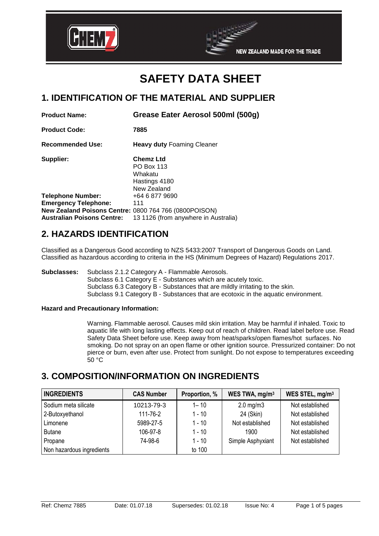



## **1. IDENTIFICATION OF THE MATERIAL AND SUPPLIER**

| <b>Product Name:</b>                                  | Grease Eater Aerosol 500ml (500g)                                         |
|-------------------------------------------------------|---------------------------------------------------------------------------|
| <b>Product Code:</b>                                  | 7885                                                                      |
| <b>Recommended Use:</b>                               | <b>Heavy duty Foaming Cleaner</b>                                         |
| Supplier:                                             | <b>Chemz Ltd</b><br>PO Box 113<br>Whakatu<br>Hastings 4180<br>New Zealand |
| <b>Telephone Number:</b>                              | +64 6 877 9690                                                            |
| <b>Emergency Telephone:</b>                           | 111                                                                       |
| New Zealand Poisons Centre: 0800 764 766 (0800POISON) |                                                                           |
| Australian Poisons Centre:                            | 13 1126 (from anywhere in Australia)                                      |
| A IIAZARRA IRENTIFIAATIAN                             |                                                                           |

# **2. HAZARDS IDENTIFICATION**

Classified as a Dangerous Good according to NZS 5433:2007 Transport of Dangerous Goods on Land. Classified as hazardous according to criteria in the HS (Minimum Degrees of Hazard) Regulations 2017.

**Subclasses:** Subclass 2.1.2 Category A - Flammable Aerosols.

Subclass 6.1 Category E - Substances which are acutely toxic. Subclass 6.3 Category B - Substances that are mildly irritating to the skin. Subclass 9.1 Category B - Substances that are ecotoxic in the aquatic environment.

## **Hazard and Precautionary Information:**

Warning. Flammable aerosol. Causes mild skin irritation. May be harmful if inhaled. Toxic to aquatic life with long lasting effects. Keep out of reach of children. Read label before use. Read Safety Data Sheet before use. Keep away from heat/sparks/open flames/hot surfaces. No smoking. Do not spray on an open flame or other ignition source. Pressurized container: Do not pierce or burn, even after use. Protect from sunlight. Do not expose to temperatures exceeding  $50 °C$ 

## **3. COMPOSITION/INFORMATION ON INGREDIENTS**

| <b>INGREDIENTS</b>        | <b>CAS Number</b> | Proportion, % | WES TWA, mg/m <sup>3</sup> | WES STEL, mg/m <sup>3</sup> |
|---------------------------|-------------------|---------------|----------------------------|-----------------------------|
| Sodium meta silicate      | 10213-79-3        | $1 - 10$      | $2.0$ mg/m $3$             | Not established             |
| 2-Butoxyethanol           | 111-76-2          | $1 - 10$      | 24 (Skin)                  | Not established             |
| Limonene                  | 5989-27-5         | $1 - 10$      | Not established            | Not established             |
| <b>Butane</b>             | 106-97-8          | $1 - 10$      | 1900                       | Not established             |
| Propane                   | 74-98-6           | $1 - 10$      | Simple Asphyxiant          | Not established             |
| Non hazardous ingredients |                   | to 100        |                            |                             |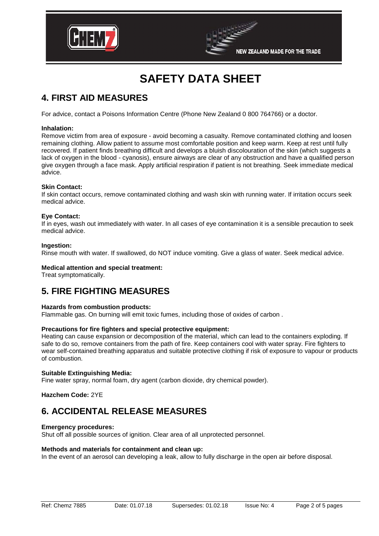



# **4. FIRST AID MEASURES**

For advice, contact a Poisons Information Centre (Phone New Zealand 0 800 764766) or a doctor.

### **Inhalation:**

Remove victim from area of exposure - avoid becoming a casualty. Remove contaminated clothing and loosen remaining clothing. Allow patient to assume most comfortable position and keep warm. Keep at rest until fully recovered. If patient finds breathing difficult and develops a bluish discolouration of the skin (which suggests a lack of oxygen in the blood - cyanosis), ensure airways are clear of any obstruction and have a qualified person give oxygen through a face mask. Apply artificial respiration if patient is not breathing. Seek immediate medical advice.

### **Skin Contact:**

If skin contact occurs, remove contaminated clothing and wash skin with running water. If irritation occurs seek medical advice.

### **Eye Contact:**

If in eyes, wash out immediately with water. In all cases of eye contamination it is a sensible precaution to seek medical advice.

### **Ingestion:**

Rinse mouth with water. If swallowed, do NOT induce vomiting. Give a glass of water. Seek medical advice.

## **Medical attention and special treatment:**

Treat symptomatically.

## **5. FIRE FIGHTING MEASURES**

#### **Hazards from combustion products:**

Flammable gas. On burning will emit toxic fumes, including those of oxides of carbon .

## **Precautions for fire fighters and special protective equipment:**

Heating can cause expansion or decomposition of the material, which can lead to the containers exploding. If safe to do so, remove containers from the path of fire. Keep containers cool with water spray. Fire fighters to wear self-contained breathing apparatus and suitable protective clothing if risk of exposure to vapour or products of combustion.

#### **Suitable Extinguishing Media:**

Fine water spray, normal foam, dry agent (carbon dioxide, dry chemical powder).

## **Hazchem Code:** 2YE

## **6. ACCIDENTAL RELEASE MEASURES**

#### **Emergency procedures:**

Shut off all possible sources of ignition. Clear area of all unprotected personnel.

### **Methods and materials for containment and clean up:**

In the event of an aerosol can developing a leak, allow to fully discharge in the open air before disposal.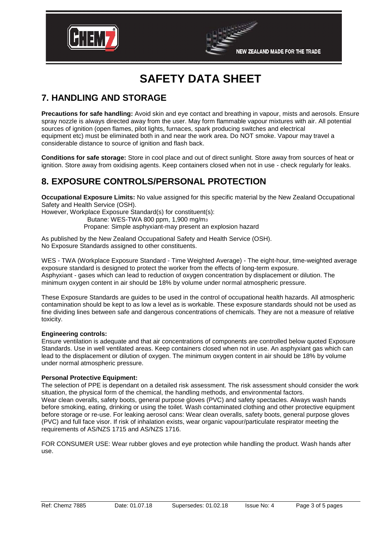



# **7. HANDLING AND STORAGE**

**Precautions for safe handling:** Avoid skin and eye contact and breathing in vapour, mists and aerosols. Ensure spray nozzle is always directed away from the user. May form flammable vapour mixtures with air. All potential sources of ignition (open flames, pilot lights, furnaces, spark producing switches and electrical equipment etc) must be eliminated both in and near the work area. Do NOT smoke. Vapour may travel a considerable distance to source of ignition and flash back.

**Conditions for safe storage:** Store in cool place and out of direct sunlight. Store away from sources of heat or ignition. Store away from oxidising agents. Keep containers closed when not in use - check regularly for leaks.

# **8. EXPOSURE CONTROLS/PERSONAL PROTECTION**

**Occupational Exposure Limits:** No value assigned for this specific material by the New Zealand Occupational Safety and Health Service (OSH).

However, Workplace Exposure Standard(s) for constituent(s):

Butane: WES-TWA 800 ppm, 1,900 mg/m<sup>3</sup>

Propane: Simple asphyxiant-may present an explosion hazard

As published by the New Zealand Occupational Safety and Health Service (OSH). No Exposure Standards assigned to other constituents.

WES - TWA (Workplace Exposure Standard - Time Weighted Average) - The eight-hour, time-weighted average exposure standard is designed to protect the worker from the effects of long-term exposure. Asphyxiant - gases which can lead to reduction of oxygen concentration by displacement or dilution. The minimum oxygen content in air should be 18% by volume under normal atmospheric pressure.

These Exposure Standards are guides to be used in the control of occupational health hazards. All atmospheric contamination should be kept to as low a level as is workable. These exposure standards should not be used as fine dividing lines between safe and dangerous concentrations of chemicals. They are not a measure of relative toxicity.

## **Engineering controls:**

Ensure ventilation is adequate and that air concentrations of components are controlled below quoted Exposure Standards. Use in well ventilated areas. Keep containers closed when not in use. An asphyxiant gas which can lead to the displacement or dilution of oxygen. The minimum oxygen content in air should be 18% by volume under normal atmospheric pressure.

## **Personal Protective Equipment:**

The selection of PPE is dependant on a detailed risk assessment. The risk assessment should consider the work situation, the physical form of the chemical, the handling methods, and environmental factors. Wear clean overalls, safety boots, general purpose gloves (PVC) and safety spectacles. Always wash hands before smoking, eating, drinking or using the toilet. Wash contaminated clothing and other protective equipment before storage or re-use. For leaking aerosol cans: Wear clean overalls, safety boots, general purpose gloves (PVC) and full face visor. If risk of inhalation exists, wear organic vapour/particulate respirator meeting the requirements of AS/NZS 1715 and AS/NZS 1716.

FOR CONSUMER USE: Wear rubber gloves and eye protection while handling the product. Wash hands after use.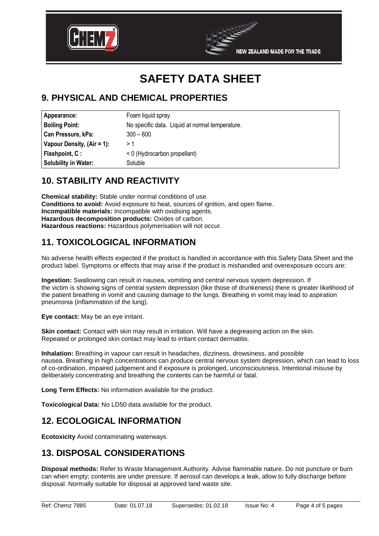



# **9. PHYSICAL AND CHEMICAL PROPERTIES**

| Appearance:                 | Foam liquid spray.                              |
|-----------------------------|-------------------------------------------------|
| <b>Boiling Point:</b>       | No specific data. Liquid at normal temperature. |
| Can Pressure, kPa:          | $300 - 600$                                     |
| Vapour Density, (Air = 1):  | >1                                              |
| Flashpoint, C:              | < 0 (Hydrocarbon propellant)                    |
| <b>Solubility in Water:</b> | Soluble                                         |

# **10. STABILITY AND REACTIVITY**

**Chemical stability:** Stable under normal conditions of use. **Conditions to avoid:** Avoid exposure to heat, sources of ignition, and open flame. **Incompatible materials:** Incompatible with oxidising agents. **Hazardous decomposition products:** Oxides of carbon. **Hazardous reactions:** Hazardous polymerisation will not occur.

# **11. TOXICOLOGICAL INFORMATION**

No adverse health effects expected if the product is handled in accordance with this Safety Data Sheet and the product label. Symptoms or effects that may arise if the product is mishandled and overexposure occurs are:

**Ingestion:** Swallowing can result in nausea, vomiting and central nervous system depression. If the victim is showing signs of central system depression (like those of drunkeness) there is greater likelihood of the patient breathing in vomit and causing damage to the lungs. Breathing in vomit may lead to aspiration pneumonia (inflammation of the lung).

**Eye contact:** May be an eye irritant.

**Skin contact:** Contact with skin may result in irritation. Will have a degreasing action on the skin. Repeated or prolonged skin contact may lead to irritant contact dermatitis.

**Inhalation:** Breathing in vapour can result in headaches, dizziness, drowsiness, and possible nausea. Breathing in high concentrations can produce central nervous system depression, which can lead to loss of co-ordination, impaired judgement and if exposure is prolonged, unconsciousness. Intentional misuse by deliberately concentrating and breathing the contents can be harmful or fatal.

**Long Term Effects:** No information available for the product.

**Toxicological Data:** No LD50 data available for the product.

# **12. ECOLOGICAL INFORMATION**

**Ecotoxicity** Avoid contaminating waterways.

# **13. DISPOSAL CONSIDERATIONS**

**Disposal methods:** Refer to Waste Management Authority. Advise flammable nature. Do not puncture or burn can when empty; contents are under pressure. If aerosol can develops a leak, allow to fully discharge before disposal. Normally suitable for disposal at approved land waste site.